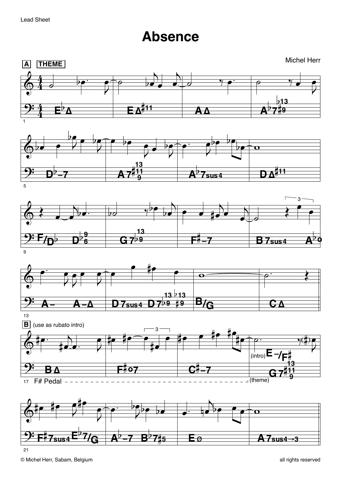**Absence** 

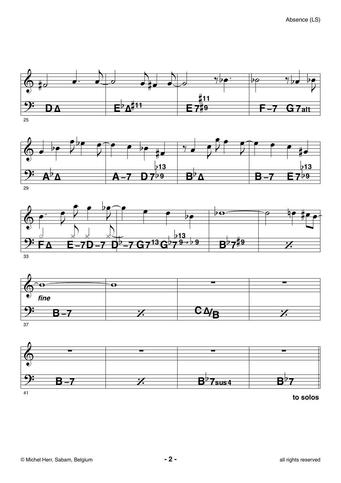

 $25$ 



29



33



 $\overline{37}$ 



to solos